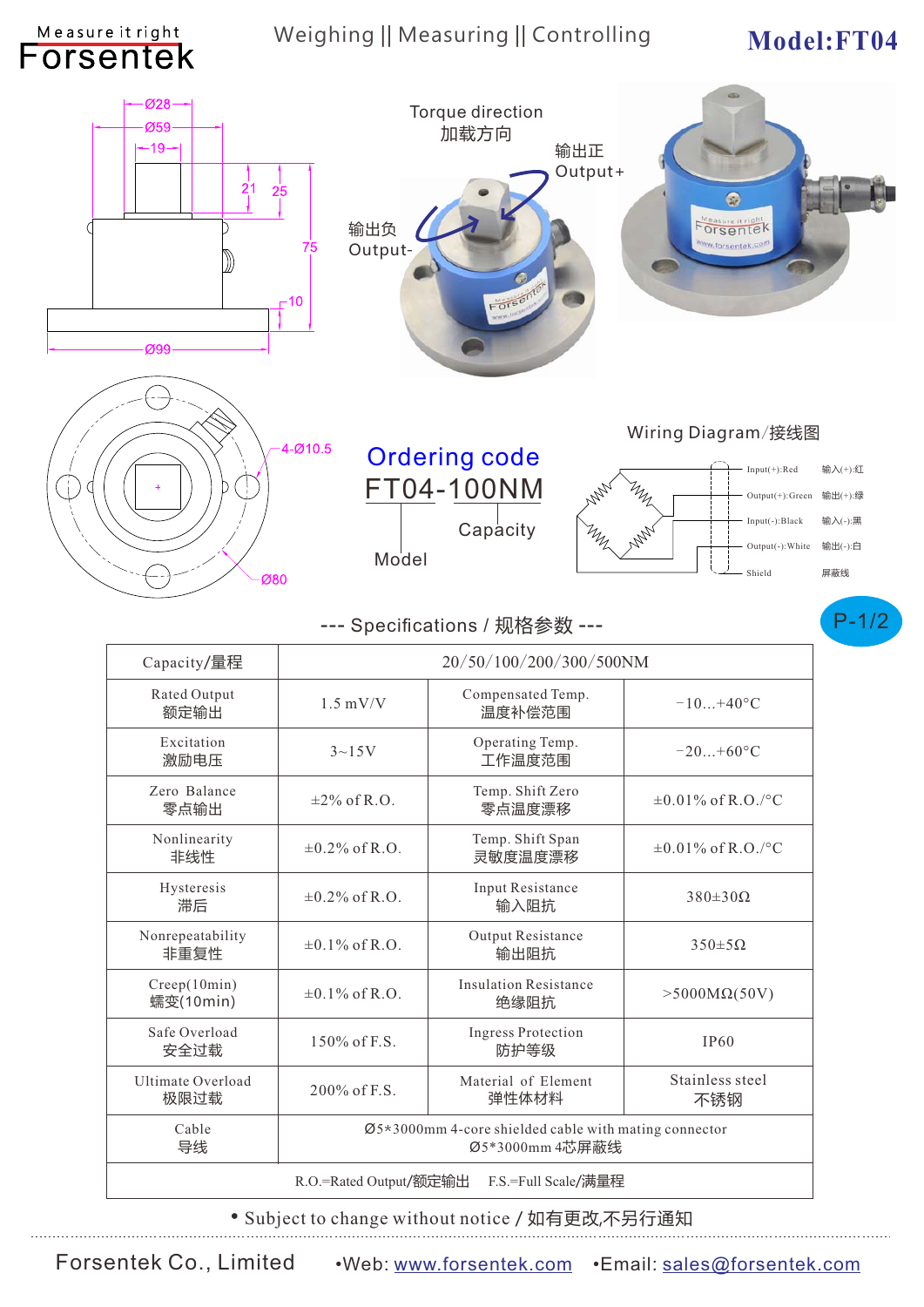## Weighing || Measuring || Controlling Model: FT04

Measure it right



• Subject to change without notice / 如有更改,不另行通知